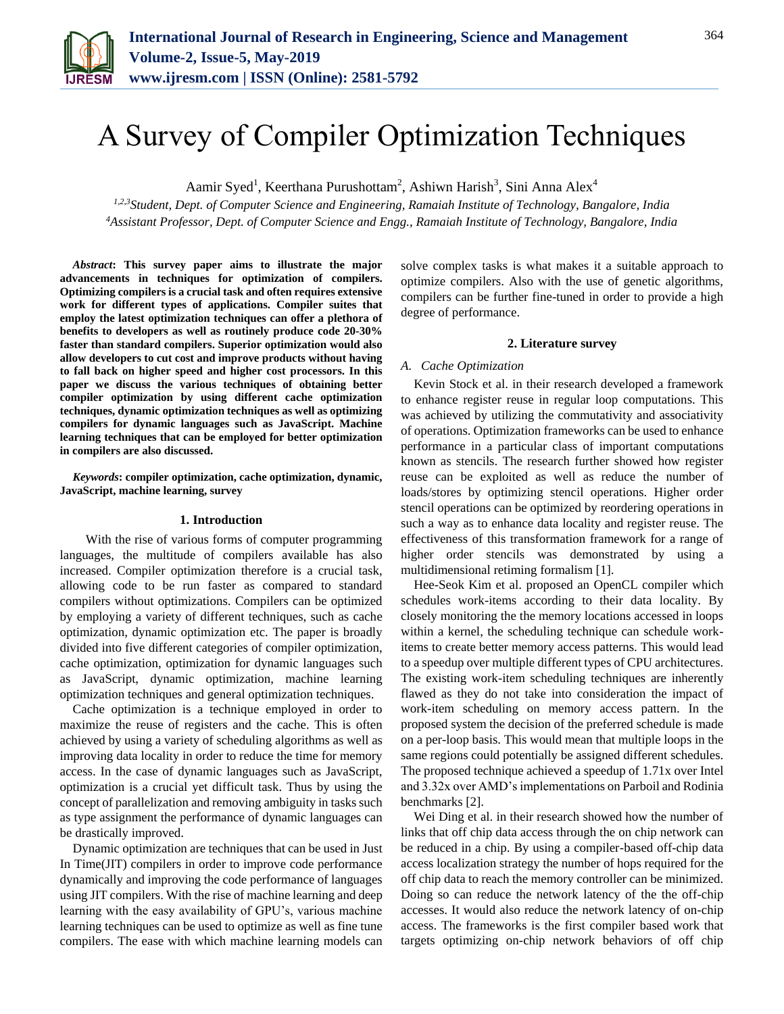

# A Survey of Compiler Optimization Techniques

Aamir Syed<sup>1</sup>, Keerthana Purushottam<sup>2</sup>, Ashiwn Harish<sup>3</sup>, Sini Anna Alex<sup>4</sup>

*1,2,3Student, Dept. of Computer Science and Engineering, Ramaiah Institute of Technology, Bangalore, India 4Assistant Professor, Dept. of Computer Science and Engg., Ramaiah Institute of Technology, Bangalore, India*

*Abstract***: This survey paper aims to illustrate the major advancements in techniques for optimization of compilers. Optimizing compilers is a crucial task and often requires extensive work for different types of applications. Compiler suites that employ the latest optimization techniques can offer a plethora of benefits to developers as well as routinely produce code 20-30% faster than standard compilers. Superior optimization would also allow developers to cut cost and improve products without having to fall back on higher speed and higher cost processors. In this paper we discuss the various techniques of obtaining better compiler optimization by using different cache optimization techniques, dynamic optimization techniques as well as optimizing compilers for dynamic languages such as JavaScript. Machine learning techniques that can be employed for better optimization in compilers are also discussed.**

*Keywords***: compiler optimization, cache optimization, dynamic, JavaScript, machine learning, survey**

#### **1. Introduction**

With the rise of various forms of computer programming languages, the multitude of compilers available has also increased. Compiler optimization therefore is a crucial task, allowing code to be run faster as compared to standard compilers without optimizations. Compilers can be optimized by employing a variety of different techniques, such as cache optimization, dynamic optimization etc. The paper is broadly divided into five different categories of compiler optimization, cache optimization, optimization for dynamic languages such as JavaScript, dynamic optimization, machine learning optimization techniques and general optimization techniques.

Cache optimization is a technique employed in order to maximize the reuse of registers and the cache. This is often achieved by using a variety of scheduling algorithms as well as improving data locality in order to reduce the time for memory access. In the case of dynamic languages such as JavaScript, optimization is a crucial yet difficult task. Thus by using the concept of parallelization and removing ambiguity in tasks such as type assignment the performance of dynamic languages can be drastically improved.

Dynamic optimization are techniques that can be used in Just In Time(JIT) compilers in order to improve code performance dynamically and improving the code performance of languages using JIT compilers. With the rise of machine learning and deep learning with the easy availability of GPU's, various machine learning techniques can be used to optimize as well as fine tune compilers. The ease with which machine learning models can

solve complex tasks is what makes it a suitable approach to optimize compilers. Also with the use of genetic algorithms, compilers can be further fine-tuned in order to provide a high degree of performance.

#### **2. Literature survey**

### *A. Cache Optimization*

Kevin Stock et al. in their research developed a framework to enhance register reuse in regular loop computations. This was achieved by utilizing the commutativity and associativity of operations. Optimization frameworks can be used to enhance performance in a particular class of important computations known as stencils. The research further showed how register reuse can be exploited as well as reduce the number of loads/stores by optimizing stencil operations. Higher order stencil operations can be optimized by reordering operations in such a way as to enhance data locality and register reuse. The effectiveness of this transformation framework for a range of higher order stencils was demonstrated by using a multidimensional retiming formalism [1].

Hee-Seok Kim et al. proposed an OpenCL compiler which schedules work-items according to their data locality. By closely monitoring the the memory locations accessed in loops within a kernel, the scheduling technique can schedule workitems to create better memory access patterns. This would lead to a speedup over multiple different types of CPU architectures. The existing work-item scheduling techniques are inherently flawed as they do not take into consideration the impact of work-item scheduling on memory access pattern. In the proposed system the decision of the preferred schedule is made on a per-loop basis. This would mean that multiple loops in the same regions could potentially be assigned different schedules. The proposed technique achieved a speedup of 1.71x over Intel and 3.32x over AMD's implementations on Parboil and Rodinia benchmarks [2].

Wei Ding et al. in their research showed how the number of links that off chip data access through the on chip network can be reduced in a chip. By using a compiler-based off-chip data access localization strategy the number of hops required for the off chip data to reach the memory controller can be minimized. Doing so can reduce the network latency of the the off-chip accesses. It would also reduce the network latency of on-chip access. The frameworks is the first compiler based work that targets optimizing on-chip network behaviors of off chip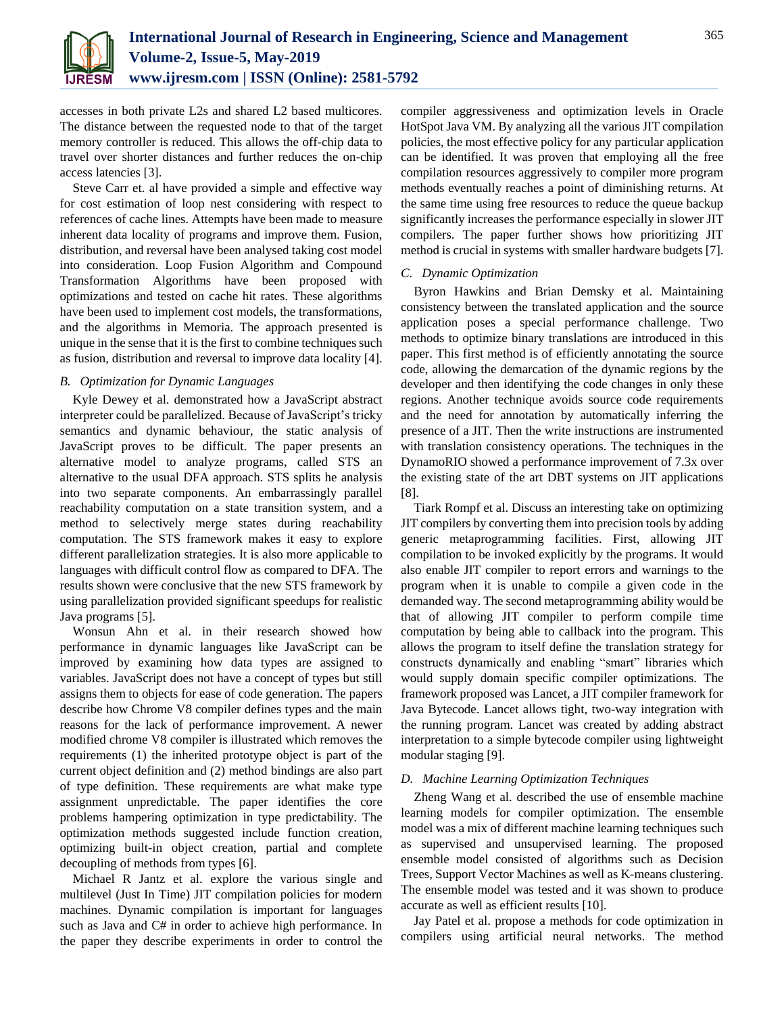

accesses in both private L2s and shared L2 based multicores. The distance between the requested node to that of the target memory controller is reduced. This allows the off-chip data to travel over shorter distances and further reduces the on-chip access latencies [3].

Steve Carr et. al have provided a simple and effective way for cost estimation of loop nest considering with respect to references of cache lines. Attempts have been made to measure inherent data locality of programs and improve them. Fusion, distribution, and reversal have been analysed taking cost model into consideration. Loop Fusion Algorithm and Compound Transformation Algorithms have been proposed with optimizations and tested on cache hit rates. These algorithms have been used to implement cost models, the transformations, and the algorithms in Memoria. The approach presented is unique in the sense that it is the first to combine techniques such as fusion, distribution and reversal to improve data locality [4].

# *B. Optimization for Dynamic Languages*

Kyle Dewey et al. demonstrated how a JavaScript abstract interpreter could be parallelized. Because of JavaScript's tricky semantics and dynamic behaviour, the static analysis of JavaScript proves to be difficult. The paper presents an alternative model to analyze programs, called STS an alternative to the usual DFA approach. STS splits he analysis into two separate components. An embarrassingly parallel reachability computation on a state transition system, and a method to selectively merge states during reachability computation. The STS framework makes it easy to explore different parallelization strategies. It is also more applicable to languages with difficult control flow as compared to DFA. The results shown were conclusive that the new STS framework by using parallelization provided significant speedups for realistic Java programs [5].

Wonsun Ahn et al. in their research showed how performance in dynamic languages like JavaScript can be improved by examining how data types are assigned to variables. JavaScript does not have a concept of types but still assigns them to objects for ease of code generation. The papers describe how Chrome V8 compiler defines types and the main reasons for the lack of performance improvement. A newer modified chrome V8 compiler is illustrated which removes the requirements (1) the inherited prototype object is part of the current object definition and (2) method bindings are also part of type definition. These requirements are what make type assignment unpredictable. The paper identifies the core problems hampering optimization in type predictability. The optimization methods suggested include function creation, optimizing built-in object creation, partial and complete decoupling of methods from types [6].

Michael R Jantz et al. explore the various single and multilevel (Just In Time) JIT compilation policies for modern machines. Dynamic compilation is important for languages such as Java and C# in order to achieve high performance. In the paper they describe experiments in order to control the

compiler aggressiveness and optimization levels in Oracle HotSpot Java VM. By analyzing all the various JIT compilation policies, the most effective policy for any particular application can be identified. It was proven that employing all the free compilation resources aggressively to compiler more program methods eventually reaches a point of diminishing returns. At the same time using free resources to reduce the queue backup significantly increases the performance especially in slower JIT compilers. The paper further shows how prioritizing JIT method is crucial in systems with smaller hardware budgets [7].

# *C. Dynamic Optimization*

Byron Hawkins and Brian Demsky et al. Maintaining consistency between the translated application and the source application poses a special performance challenge. Two methods to optimize binary translations are introduced in this paper. This first method is of efficiently annotating the source code, allowing the demarcation of the dynamic regions by the developer and then identifying the code changes in only these regions. Another technique avoids source code requirements and the need for annotation by automatically inferring the presence of a JIT. Then the write instructions are instrumented with translation consistency operations. The techniques in the DynamoRIO showed a performance improvement of 7.3x over the existing state of the art DBT systems on JIT applications [8].

Tiark Rompf et al. Discuss an interesting take on optimizing JIT compilers by converting them into precision tools by adding generic metaprogramming facilities. First, allowing JIT compilation to be invoked explicitly by the programs. It would also enable JIT compiler to report errors and warnings to the program when it is unable to compile a given code in the demanded way. The second metaprogramming ability would be that of allowing JIT compiler to perform compile time computation by being able to callback into the program. This allows the program to itself define the translation strategy for constructs dynamically and enabling "smart" libraries which would supply domain specific compiler optimizations. The framework proposed was Lancet, a JIT compiler framework for Java Bytecode. Lancet allows tight, two-way integration with the running program. Lancet was created by adding abstract interpretation to a simple bytecode compiler using lightweight modular staging [9].

## *D. Machine Learning Optimization Techniques*

Zheng Wang et al. described the use of ensemble machine learning models for compiler optimization. The ensemble model was a mix of different machine learning techniques such as supervised and unsupervised learning. The proposed ensemble model consisted of algorithms such as Decision Trees, Support Vector Machines as well as K-means clustering. The ensemble model was tested and it was shown to produce accurate as well as efficient results [10].

Jay Patel et al. propose a methods for code optimization in compilers using artificial neural networks. The method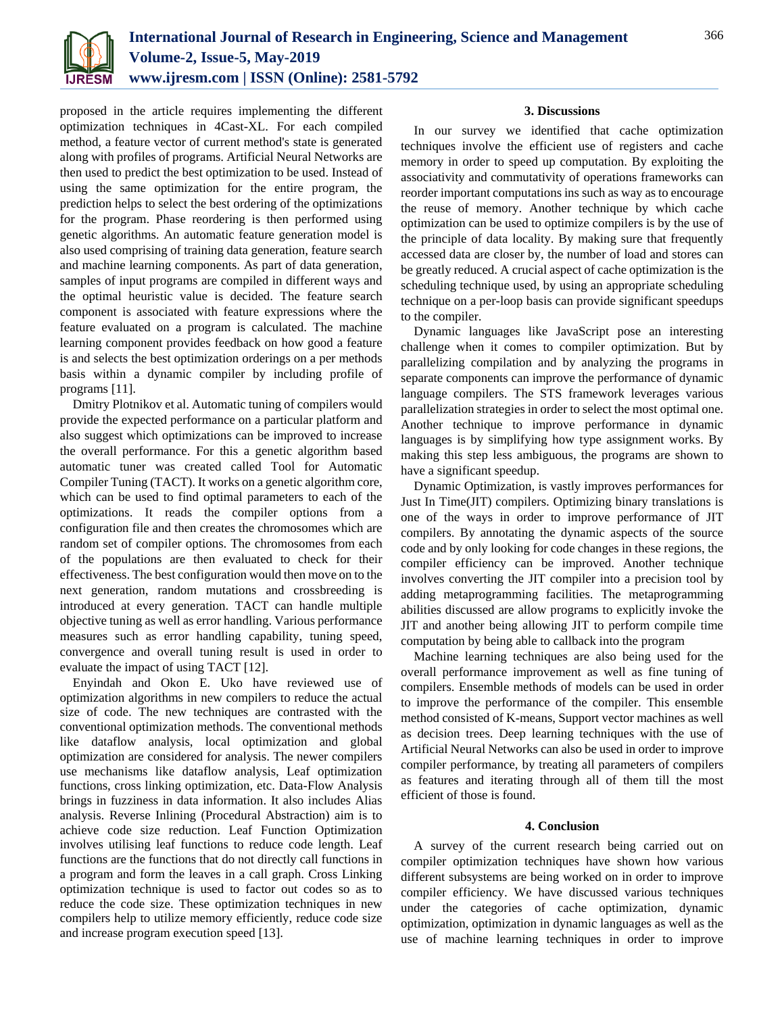

proposed in the article requires implementing the different optimization techniques in 4Cast-XL. For each compiled method, a feature vector of current method's state is generated along with profiles of programs. Artificial Neural Networks are then used to predict the best optimization to be used. Instead of using the same optimization for the entire program, the prediction helps to select the best ordering of the optimizations for the program. Phase reordering is then performed using genetic algorithms. An automatic feature generation model is also used comprising of training data generation, feature search and machine learning components. As part of data generation, samples of input programs are compiled in different ways and the optimal heuristic value is decided. The feature search component is associated with feature expressions where the feature evaluated on a program is calculated. The machine learning component provides feedback on how good a feature is and selects the best optimization orderings on a per methods basis within a dynamic compiler by including profile of programs [11].

Dmitry Plotnikov et al. Automatic tuning of compilers would provide the expected performance on a particular platform and also suggest which optimizations can be improved to increase the overall performance. For this a genetic algorithm based automatic tuner was created called Tool for Automatic Compiler Tuning (TACT). It works on a genetic algorithm core, which can be used to find optimal parameters to each of the optimizations. It reads the compiler options from a configuration file and then creates the chromosomes which are random set of compiler options. The chromosomes from each of the populations are then evaluated to check for their effectiveness. The best configuration would then move on to the next generation, random mutations and crossbreeding is introduced at every generation. TACT can handle multiple objective tuning as well as error handling. Various performance measures such as error handling capability, tuning speed, convergence and overall tuning result is used in order to evaluate the impact of using TACT [12].

Enyindah and Okon E. Uko have reviewed use of optimization algorithms in new compilers to reduce the actual size of code. The new techniques are contrasted with the conventional optimization methods. The conventional methods like dataflow analysis, local optimization and global optimization are considered for analysis. The newer compilers use mechanisms like dataflow analysis, Leaf optimization functions, cross linking optimization, etc. Data-Flow Analysis brings in fuzziness in data information. It also includes Alias analysis. Reverse Inlining (Procedural Abstraction) aim is to achieve code size reduction. Leaf Function Optimization involves utilising leaf functions to reduce code length. Leaf functions are the functions that do not directly call functions in a program and form the leaves in a call graph. Cross Linking optimization technique is used to factor out codes so as to reduce the code size. These optimization techniques in new compilers help to utilize memory efficiently, reduce code size and increase program execution speed [13].

## **3. Discussions**

In our survey we identified that cache optimization techniques involve the efficient use of registers and cache memory in order to speed up computation. By exploiting the associativity and commutativity of operations frameworks can reorder important computations ins such as way as to encourage the reuse of memory. Another technique by which cache optimization can be used to optimize compilers is by the use of the principle of data locality. By making sure that frequently accessed data are closer by, the number of load and stores can be greatly reduced. A crucial aspect of cache optimization is the scheduling technique used, by using an appropriate scheduling technique on a per-loop basis can provide significant speedups to the compiler.

Dynamic languages like JavaScript pose an interesting challenge when it comes to compiler optimization. But by parallelizing compilation and by analyzing the programs in separate components can improve the performance of dynamic language compilers. The STS framework leverages various parallelization strategies in order to select the most optimal one. Another technique to improve performance in dynamic languages is by simplifying how type assignment works. By making this step less ambiguous, the programs are shown to have a significant speedup.

Dynamic Optimization, is vastly improves performances for Just In Time(JIT) compilers. Optimizing binary translations is one of the ways in order to improve performance of JIT compilers. By annotating the dynamic aspects of the source code and by only looking for code changes in these regions, the compiler efficiency can be improved. Another technique involves converting the JIT compiler into a precision tool by adding metaprogramming facilities. The metaprogramming abilities discussed are allow programs to explicitly invoke the JIT and another being allowing JIT to perform compile time computation by being able to callback into the program

Machine learning techniques are also being used for the overall performance improvement as well as fine tuning of compilers. Ensemble methods of models can be used in order to improve the performance of the compiler. This ensemble method consisted of K-means, Support vector machines as well as decision trees. Deep learning techniques with the use of Artificial Neural Networks can also be used in order to improve compiler performance, by treating all parameters of compilers as features and iterating through all of them till the most efficient of those is found.

## **4. Conclusion**

A survey of the current research being carried out on compiler optimization techniques have shown how various different subsystems are being worked on in order to improve compiler efficiency. We have discussed various techniques under the categories of cache optimization, dynamic optimization, optimization in dynamic languages as well as the use of machine learning techniques in order to improve